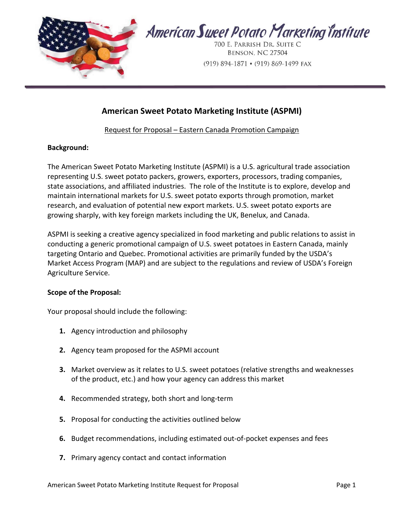

# American Sweet Potato Marketing Institute (ASPMI)

## Request for Proposal – Eastern Canada Promotion Campaign

#### Background:

The American Sweet Potato Marketing Institute (ASPMI) is a U.S. agricultural trade association representing U.S. sweet potato packers, growers, exporters, processors, trading companies, state associations, and affiliated industries. The role of the Institute is to explore, develop and maintain international markets for U.S. sweet potato exports through promotion, market research, and evaluation of potential new export markets. U.S. sweet potato exports are growing sharply, with key foreign markets including the UK, Benelux, and Canada.

ASPMI is seeking a creative agency specialized in food marketing and public relations to assist in conducting a generic promotional campaign of U.S. sweet potatoes in Eastern Canada, mainly targeting Ontario and Quebec. Promotional activities are primarily funded by the USDA's Market Access Program (MAP) and are subject to the regulations and review of USDA's Foreign Agriculture Service.

### Scope of the Proposal:

Your proposal should include the following:

- 1. Agency introduction and philosophy
- 2. Agency team proposed for the ASPMI account
- 3. Market overview as it relates to U.S. sweet potatoes (relative strengths and weaknesses of the product, etc.) and how your agency can address this market
- 4. Recommended strategy, both short and long-term
- 5. Proposal for conducting the activities outlined below
- 6. Budget recommendations, including estimated out-of-pocket expenses and fees
- 7. Primary agency contact and contact information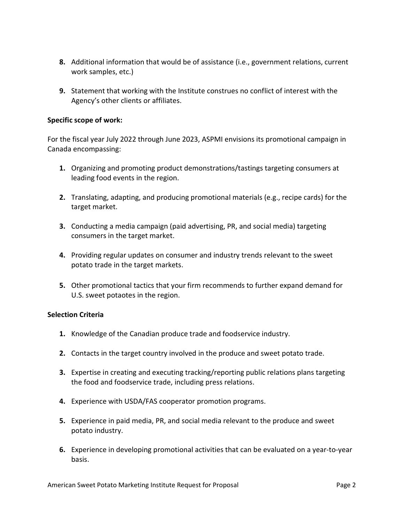- 8. Additional information that would be of assistance (i.e., government relations, current work samples, etc.)
- 9. Statement that working with the Institute construes no conflict of interest with the Agency's other clients or affiliates.

### Specific scope of work:

For the fiscal year July 2022 through June 2023, ASPMI envisions its promotional campaign in Canada encompassing:

- 1. Organizing and promoting product demonstrations/tastings targeting consumers at leading food events in the region.
- 2. Translating, adapting, and producing promotional materials (e.g., recipe cards) for the target market.
- 3. Conducting a media campaign (paid advertising, PR, and social media) targeting consumers in the target market.
- 4. Providing regular updates on consumer and industry trends relevant to the sweet potato trade in the target markets.
- 5. Other promotional tactics that your firm recommends to further expand demand for U.S. sweet potaotes in the region.

#### Selection Criteria

- 1. Knowledge of the Canadian produce trade and foodservice industry.
- 2. Contacts in the target country involved in the produce and sweet potato trade.
- 3. Expertise in creating and executing tracking/reporting public relations plans targeting the food and foodservice trade, including press relations.
- 4. Experience with USDA/FAS cooperator promotion programs.
- 5. Experience in paid media, PR, and social media relevant to the produce and sweet potato industry.
- 6. Experience in developing promotional activities that can be evaluated on a year-to-year basis.